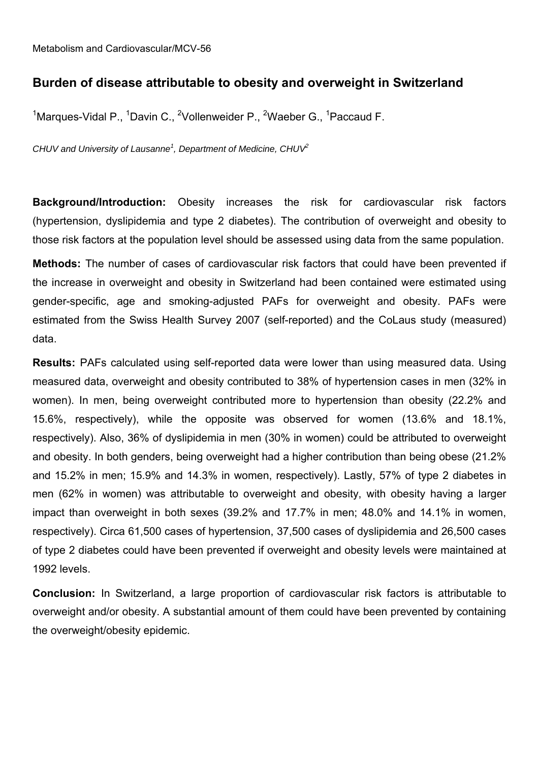#### **Burden of disease attributable to obesity and overweight in Switzerland**

<sup>1</sup>Marques-Vidal P., <sup>1</sup>Davin C., <sup>2</sup>Vollenweider P., <sup>2</sup>Waeber G., <sup>1</sup>Paccaud F.

*CHUV and University of Lausanne<sup>1</sup> , Department of Medicine, CHUV<sup>2</sup>*

**Background/Introduction:** Obesity increases the risk for cardiovascular risk factors (hypertension, dyslipidemia and type 2 diabetes). The contribution of overweight and obesity to those risk factors at the population level should be assessed using data from the same population.

**Methods:** The number of cases of cardiovascular risk factors that could have been prevented if the increase in overweight and obesity in Switzerland had been contained were estimated using gender-specific, age and smoking-adjusted PAFs for overweight and obesity. PAFs were estimated from the Swiss Health Survey 2007 (self-reported) and the CoLaus study (measured) data.

**Results:** PAFs calculated using self-reported data were lower than using measured data. Using measured data, overweight and obesity contributed to 38% of hypertension cases in men (32% in women). In men, being overweight contributed more to hypertension than obesity (22.2% and 15.6%, respectively), while the opposite was observed for women (13.6% and 18.1%, respectively). Also, 36% of dyslipidemia in men (30% in women) could be attributed to overweight and obesity. In both genders, being overweight had a higher contribution than being obese (21.2% and 15.2% in men; 15.9% and 14.3% in women, respectively). Lastly, 57% of type 2 diabetes in men (62% in women) was attributable to overweight and obesity, with obesity having a larger impact than overweight in both sexes (39.2% and 17.7% in men; 48.0% and 14.1% in women, respectively). Circa 61,500 cases of hypertension, 37,500 cases of dyslipidemia and 26,500 cases of type 2 diabetes could have been prevented if overweight and obesity levels were maintained at 1992 levels.

**Conclusion:** In Switzerland, a large proportion of cardiovascular risk factors is attributable to overweight and/or obesity. A substantial amount of them could have been prevented by containing the overweight/obesity epidemic.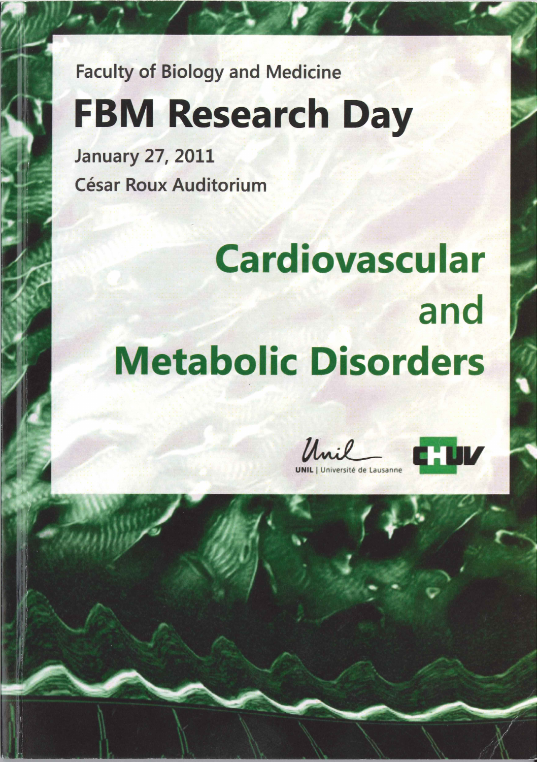**Faculty of Biology and Medicine** 

# **FBM Research Day**

**January 27, 2011 César Roux Auditorium** 

# **Cardiovascular** and **Metabolic Disorders**

Unil

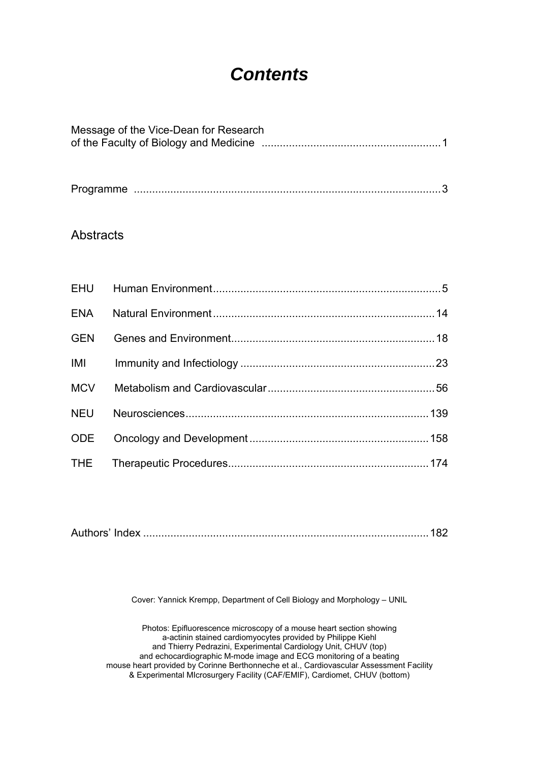## *Contents*

| Message of the Vice-Dean for Research |
|---------------------------------------|
|                                       |

|--|--|

#### **Abstracts**

| <b>GEN</b> |  |
|------------|--|
| <b>IMI</b> |  |
|            |  |
| <b>NEU</b> |  |
| ODE        |  |
|            |  |

|--|--|

Cover: Yannick Krempp, Department of Cell Biology and Morphology – UNIL

Photos: Epifluorescence microscopy of a mouse heart section showing a-actinin stained cardiomyocytes provided by Philippe Kiehl and Thierry Pedrazini, Experimental Cardiology Unit, CHUV (top) and echocardiographic M-mode image and ECG monitoring of a beating mouse heart provided by Corinne Berthonneche et al., Cardiovascular Assessment Facility & Experimental MIcrosurgery Facility (CAF/EMIF), Cardiomet, CHUV (bottom)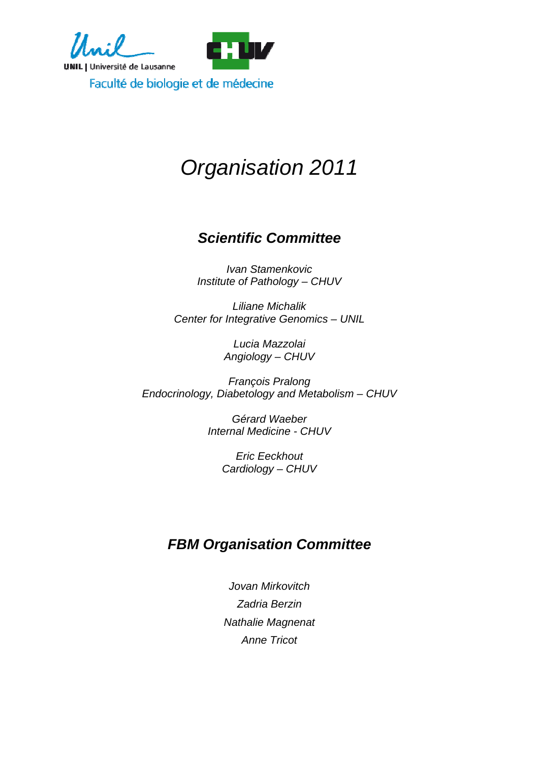

## *Organisation 2011*

## *Scientific Committee*

*Ivan Stamenkovic Institute of Pathology – CHUV* 

*Liliane Michalik Center for Integrative Genomics – UNIL* 

> *Lucia Mazzolai Angiology – CHUV*

*François Pralong Endocrinology, Diabetology and Metabolism – CHUV* 

> *Gérard Waeber Internal Medicine - CHUV*

> > *Eric Eeckhout Cardiology – CHUV*

### *FBM Organisation Committee*

*Jovan Mirkovitch Zadria Berzin Nathalie Magnenat Anne Tricot*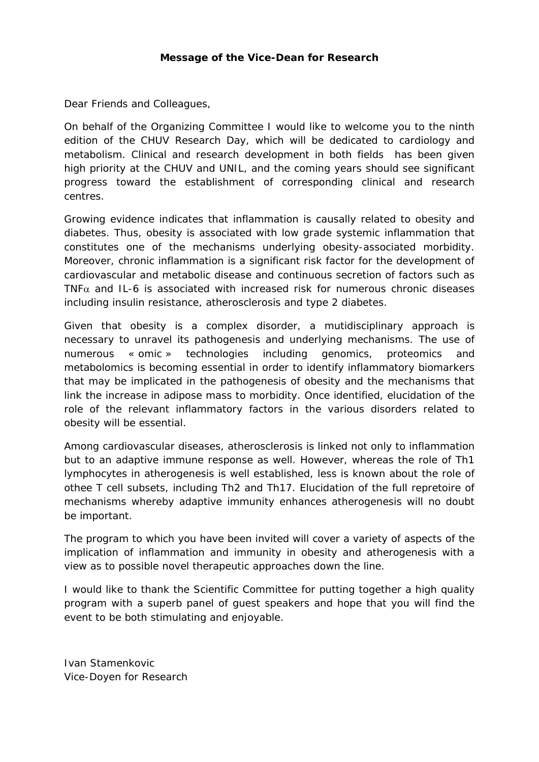#### **Message of the Vice-Dean for Research**

Dear Friends and Colleagues,

On behalf of the Organizing Committee I would like to welcome you to the ninth edition of the CHUV Research Day, which will be dedicated to cardiology and metabolism. Clinical and research development in both fields has been given high priority at the CHUV and UNIL, and the coming years should see significant progress toward the establishment of corresponding clinical and research centres.

Growing evidence indicates that inflammation is causally related to obesity and diabetes. Thus, obesity is associated with low grade systemic inflammation that constitutes one of the mechanisms underlying obesity-associated morbidity. Moreover, chronic inflammation is a significant risk factor for the development of cardiovascular and metabolic disease and continuous secretion of factors such as TNF $\alpha$  and IL-6 is associated with increased risk for numerous chronic diseases including insulin resistance, atherosclerosis and type 2 diabetes.

Given that obesity is a complex disorder, a mutidisciplinary approach is necessary to unravel its pathogenesis and underlying mechanisms. The use of numerous « omic » technologies including genomics, proteomics and metabolomics is becoming essential in order to identify inflammatory biomarkers that may be implicated in the pathogenesis of obesity and the mechanisms that link the increase in adipose mass to morbidity. Once identified, elucidation of the role of the relevant inflammatory factors in the various disorders related to obesity will be essential.

Among cardiovascular diseases, atherosclerosis is linked not only to inflammation but to an adaptive immune response as well. However, whereas the role of Th1 lymphocytes in atherogenesis is well established, less is known about the role of othee T cell subsets, including Th2 and Th17. Elucidation of the full repretoire of mechanisms whereby adaptive immunity enhances atherogenesis will no doubt be important.

The program to which you have been invited will cover a variety of aspects of the implication of inflammation and immunity in obesity and atherogenesis with a view as to possible novel therapeutic approaches down the line.

I would like to thank the Scientific Committee for putting together a high quality program with a superb panel of guest speakers and hope that you will find the event to be both stimulating and enjoyable.

Ivan Stamenkovic Vice-Doyen for Research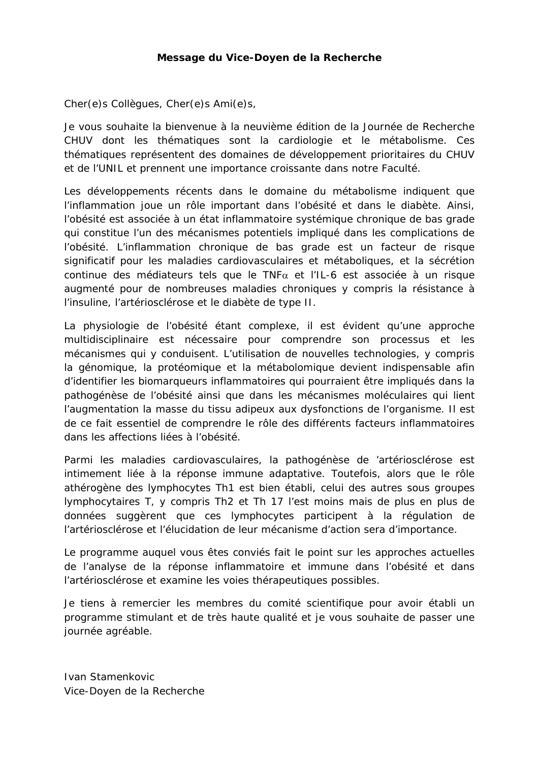#### **Message du Vice-Doyen de la Recherche**

Cher(e)s Collègues, Cher(e)s Ami(e)s,

Je vous souhaite la bienvenue à la neuvième édition de la Journée de Recherche CHUV dont les thématiques sont la cardiologie et le métabolisme. Ces thématiques représentent des domaines de développement prioritaires du CHUV et de l'UNIL et prennent une importance croissante dans notre Faculté.

Les développements récents dans le domaine du métabolisme indiquent que l'inflammation joue un rôle important dans l'obésité et dans le diabète. Ainsi, l'obésité est associée à un état inflammatoire systémique chronique de bas grade qui constitue l'un des mécanismes potentiels impliqué dans les complications de l'obésité. L'inflammation chronique de bas grade est un facteur de risque significatif pour les maladies cardiovasculaires et métaboliques, et la sécrétion continue des médiateurs tels que le TNFα et l'IL-6 est associée à un risque augmenté pour de nombreuses maladies chroniques y compris la résistance à l'insuline, l'artériosclérose et le diabète de type II.

La physiologie de l'obésité étant complexe, il est évident qu'une approche multidisciplinaire est nécessaire pour comprendre son processus et les mécanismes qui y conduisent. L'utilisation de nouvelles technologies, y compris la génomique, la protéomique et la métabolomique devient indispensable afin d'identifier les biomarqueurs inflammatoires qui pourraient être impliqués dans la pathogénèse de l'obésité ainsi que dans les mécanismes moléculaires qui lient l'augmentation la masse du tissu adipeux aux dysfonctions de l'organisme. Il est de ce fait essentiel de comprendre le rôle des différents facteurs inflammatoires dans les affections liées à l'obésité.

Parmi les maladies cardiovasculaires, la pathogénèse de 'artériosclérose est intimement liée à la réponse immune adaptative. Toutefois, alors que le rôle athérogène des lymphocytes Th1 est bien établi, celui des autres sous groupes lymphocytaires T, y compris Th2 et Th 17 l'est moins mais de plus en plus de données suggèrent que ces lymphocytes participent à la régulation de l'artériosclérose et l'élucidation de leur mécanisme d'action sera d'importance.

Le programme auquel vous êtes conviés fait le point sur les approches actuelles de l'analyse de la réponse inflammatoire et immune dans l'obésité et dans l'artériosclérose et examine les voies thérapeutiques possibles.

Je tiens à remercier les membres du comité scientifique pour avoir établi un programme stimulant et de très haute qualité et je vous souhaite de passer une journée agréable.

Ivan Stamenkovic Vice-Doyen de la Recherche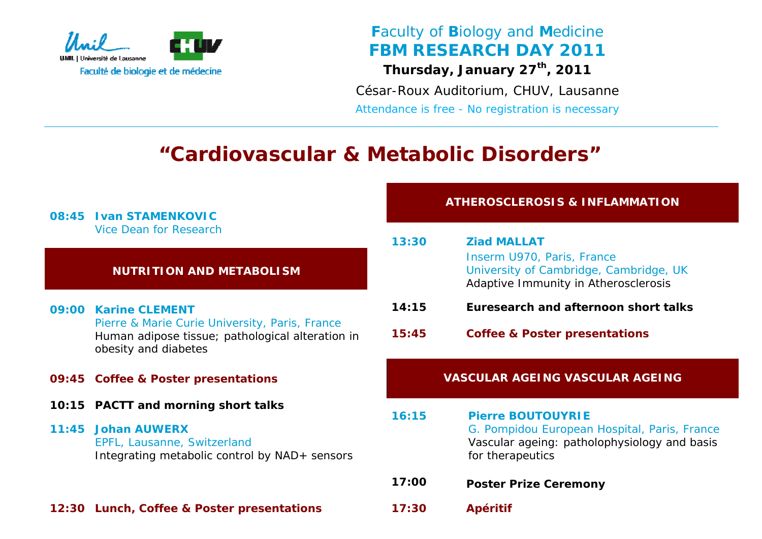

*Faculty of Biology and Medicine FBM RESEARCH DAY 2011 Thursday, January 27th, 2011* 

*César-Roux Auditorium, CHUV, Lausanne Attendance is free - No registration is necessary*

## *"Cardiovascular & Metabolic Disorders"*

| 08:45 | <b>Ivan STAMENKOVIC</b>                                                                                                                    |       | <b>ATHEROSCI</b>                                    |  |
|-------|--------------------------------------------------------------------------------------------------------------------------------------------|-------|-----------------------------------------------------|--|
|       | <b>Vice Dean for Research</b>                                                                                                              | 13:30 | <b>Ziad MA</b>                                      |  |
|       | <b>NUTRITION AND METABOLISM</b>                                                                                                            |       | Inserm L<br><b>Universit</b><br>Adaptive            |  |
|       | 09:00 Karine CLEMENT                                                                                                                       | 14:15 | Euresea                                             |  |
|       | Pierre & Marie Curie University, Paris, France<br>Human adipose tissue; pathological alteration in<br>obesity and diabetes                 | 15:45 | Coffee &                                            |  |
|       | 09:45 Coffee & Poster presentations                                                                                                        |       | <b>VASCULAR</b>                                     |  |
| 10:15 | <b>PACTT and morning short talks</b><br>11:45 Johan AUWERX<br>EPFL, Lausanne, Switzerland<br>Integrating metabolic control by NAD+ sensors | 16:15 | <b>Pierre E</b><br>G. Pomp<br>Vascular<br>for thera |  |
|       |                                                                                                                                            | 17:00 | <b>Poster F</b>                                     |  |
| 12:30 | Lunch, Coffee & Poster presentations                                                                                                       | 17:30 | <b>Apéritif</b>                                     |  |

*ATHEROSIS & INFLAMMATION* 

| 13:30 | <b>Ziad MALLAT</b>                     |
|-------|----------------------------------------|
|       | Inserm U970, Paris, France             |
|       | University of Cambridge, Cambridge, UK |
|       | Adaptive Immunity in Atherosclerosis   |
|       |                                        |

- **Euresearch and afternoon short talks**
- **Coffee & Poster presentations**

#### **CULAR AGEING VASCULAR AGEING**

- **Pierre BOUTOUYRIE** G. Pompidou European Hospital, Paris, France *Vascular ageing: patholophysiology and basis for therapeutics*
- **Poster Prize Ceremony**